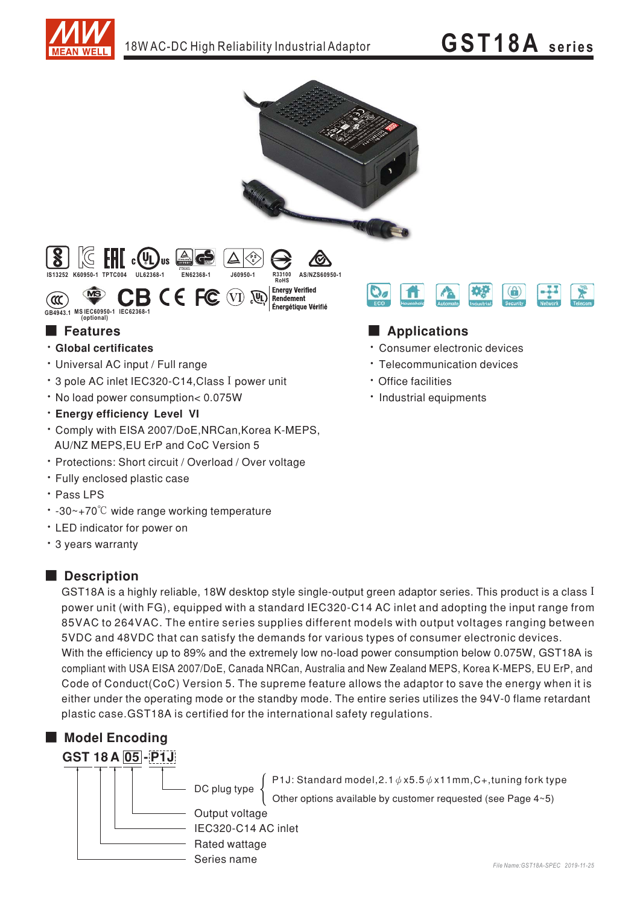

# **GST18A** series



### **Executer** Features

- · Global certificates
- · Universal AC input / Full range
- \* 3 pole AC inlet IEC320-C14, Class I power unit
- . No load power consumption< 0.075W
- · Energy efficiency Level VI
- \* Comply with EISA 2007/DoE, NRCan, Korea K-MEPS, AU/NZ MEPS, EU ErP and CoC Version 5
- · Protections: Short circuit / Overload / Over voltage
- · Fully enclosed plastic case
- · Pass LPS
- -30~+70°C wide range working temperature
- LED indicator for power on
- \* 3 years warranty

#### **Description**

GST18A is a highly reliable, 18W desktop style single-output green adaptor series. This product is a class I power unit (with FG), equipped with a standard IEC320-C14 AC inlet and adopting the input range from 85VAC to 264VAC. The entire series supplies different models with output voltages ranging between 5VDC and 48VDC that can satisfy the demands for various types of consumer electronic devices. With the efficiency up to 89% and the extremely low no-load power consumption below 0.075W. GST18A is compliant with USA EISA 2007/DoE, Canada NRCan, Australia and New Zealand MEPS, Korea K-MEPS, EU ErP, and Code of Conduct(CoC) Version 5. The supreme feature allows the adaptor to save the energy when it is either under the operating mode or the standby mode. The entire series utilizes the 94V-0 flame retardant plastic case. GST18A is certified for the international safety regulations.

### Model Encoding





P1J: Standard model, 2.1  $\phi$  x5.5  $\phi$  x11mm, C+, tuning fork type Other options available by customer requested (see Page 4~5)

Output voltage IEC320-C14 AC inlet Rated wattage

## Applications

- \* Consumer electronic devices
- · Telecommunication devices
- · Office facilities
- · Industrial equipments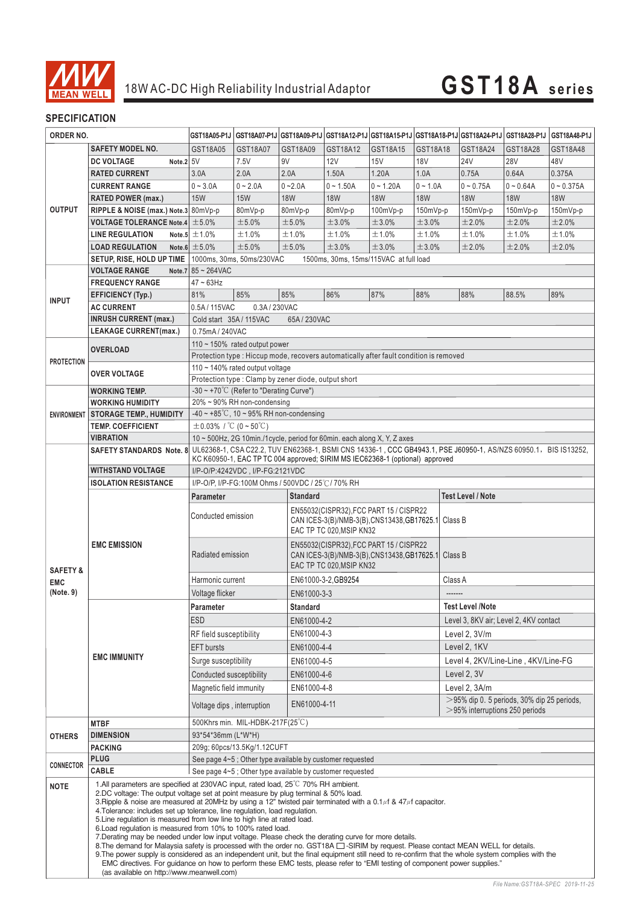

# 18W AC-DC High Reliability Industrial Adaptor **GST18A series**

#### **SPECIFICATION**

| ORDER NO.                                                                                                             |                                                                                                                                                                                                                                                                                                                                                                                                                                                                                                                                                                                                                                                                                                                                                                                                                                                                                                                                                                                                                                                                                                                                | GST18A05-P1J                                                                                                    |                                                                                                                 |                 |                                                                                                                            |                                                                         |            | GST18A07-P1J  GST18A09-P1J   GST18A12-P1J   GST18A15-P1J   GST18A18-P1J   GST18A24-P1J   GST18A28-P1J |             | <b>GST18A48-P1J</b> |  |
|-----------------------------------------------------------------------------------------------------------------------|--------------------------------------------------------------------------------------------------------------------------------------------------------------------------------------------------------------------------------------------------------------------------------------------------------------------------------------------------------------------------------------------------------------------------------------------------------------------------------------------------------------------------------------------------------------------------------------------------------------------------------------------------------------------------------------------------------------------------------------------------------------------------------------------------------------------------------------------------------------------------------------------------------------------------------------------------------------------------------------------------------------------------------------------------------------------------------------------------------------------------------|-----------------------------------------------------------------------------------------------------------------|-----------------------------------------------------------------------------------------------------------------|-----------------|----------------------------------------------------------------------------------------------------------------------------|-------------------------------------------------------------------------|------------|-------------------------------------------------------------------------------------------------------|-------------|---------------------|--|
|                                                                                                                       | <b>SAFETY MODEL NO.</b>                                                                                                                                                                                                                                                                                                                                                                                                                                                                                                                                                                                                                                                                                                                                                                                                                                                                                                                                                                                                                                                                                                        | GST18A05                                                                                                        | GST18A07                                                                                                        | GST18A09        | GST18A12                                                                                                                   | GST18A15                                                                | GST18A18   | GST18A24                                                                                              | GST18A28    | GST18A48            |  |
|                                                                                                                       | Note.2 5V<br><b>DC VOLTAGE</b>                                                                                                                                                                                                                                                                                                                                                                                                                                                                                                                                                                                                                                                                                                                                                                                                                                                                                                                                                                                                                                                                                                 |                                                                                                                 | 7.5V                                                                                                            | 9V              | <b>12V</b>                                                                                                                 | 15V                                                                     | <b>18V</b> | <b>24V</b>                                                                                            | <b>28V</b>  | 48V                 |  |
|                                                                                                                       | <b>RATED CURRENT</b>                                                                                                                                                                                                                                                                                                                                                                                                                                                                                                                                                                                                                                                                                                                                                                                                                                                                                                                                                                                                                                                                                                           | 3.0A                                                                                                            | 2.0A                                                                                                            | 2.0A            | 1.50A                                                                                                                      | 1.20A                                                                   | 1.0A       | 0.75A                                                                                                 | 0.64A       | 0.375A              |  |
|                                                                                                                       | <b>CURRENT RANGE</b>                                                                                                                                                                                                                                                                                                                                                                                                                                                                                                                                                                                                                                                                                                                                                                                                                                                                                                                                                                                                                                                                                                           | $0 - 3.0A$                                                                                                      | $0 - 2.0A$                                                                                                      | $0 - 2.0A$      | $0 - 1.50A$                                                                                                                | $0 - 1.20A$                                                             | $0 - 1.0A$ | $0 - 0.75A$                                                                                           | $0 - 0.64A$ | $0 - 0.375A$        |  |
|                                                                                                                       |                                                                                                                                                                                                                                                                                                                                                                                                                                                                                                                                                                                                                                                                                                                                                                                                                                                                                                                                                                                                                                                                                                                                | <b>15W</b>                                                                                                      | <b>15W</b>                                                                                                      | <b>18W</b>      | <b>18W</b>                                                                                                                 | <b>18W</b>                                                              | <b>18W</b> | <b>18W</b>                                                                                            | <b>18W</b>  | <b>18W</b>          |  |
|                                                                                                                       | <b>RATED POWER (max.)</b>                                                                                                                                                                                                                                                                                                                                                                                                                                                                                                                                                                                                                                                                                                                                                                                                                                                                                                                                                                                                                                                                                                      |                                                                                                                 |                                                                                                                 |                 |                                                                                                                            |                                                                         |            |                                                                                                       |             |                     |  |
|                                                                                                                       | RIPPLE & NOISE (max.) Note.3 80mVp-p                                                                                                                                                                                                                                                                                                                                                                                                                                                                                                                                                                                                                                                                                                                                                                                                                                                                                                                                                                                                                                                                                           |                                                                                                                 | 80mVp-p                                                                                                         | 80mVp-p         | 80mVp-p                                                                                                                    | 100mVp-p                                                                | 150mVp-p   | 150mVp-p                                                                                              | 150mVp-p    | 150mVp-p            |  |
|                                                                                                                       | <b>VOLTAGE TOLERANCE Note.4</b> $\pm$ 5.0%                                                                                                                                                                                                                                                                                                                                                                                                                                                                                                                                                                                                                                                                                                                                                                                                                                                                                                                                                                                                                                                                                     |                                                                                                                 | ±5.0%                                                                                                           | ±5.0%           | ±3.0%                                                                                                                      | ±3.0%                                                                   | ±3.0%      | ±2.0%                                                                                                 | ±2.0%       | ±2.0%               |  |
|                                                                                                                       | <b>LINE REGULATION</b>                                                                                                                                                                                                                                                                                                                                                                                                                                                                                                                                                                                                                                                                                                                                                                                                                                                                                                                                                                                                                                                                                                         | Note.5 $\pm$ 1.0%                                                                                               | ±1.0%                                                                                                           | ±1.0%           | ±1.0%                                                                                                                      | ±1.0%                                                                   | ±1.0%      | ±1.0%                                                                                                 | ±1.0%       | ±1.0%               |  |
|                                                                                                                       | <b>LOAD REGULATION</b>                                                                                                                                                                                                                                                                                                                                                                                                                                                                                                                                                                                                                                                                                                                                                                                                                                                                                                                                                                                                                                                                                                         | Note.6 $\pm$ 5.0%                                                                                               | ±5.0%                                                                                                           | ±5.0%           | ±3.0%                                                                                                                      | ±3.0%                                                                   | ±3.0%      | ±2.0%                                                                                                 | ±2.0%       | ±2.0%               |  |
|                                                                                                                       |                                                                                                                                                                                                                                                                                                                                                                                                                                                                                                                                                                                                                                                                                                                                                                                                                                                                                                                                                                                                                                                                                                                                | SETUP, RISE, HOLD UP TIME   1000ms, 30ms, 50ms/230VAC<br>1500ms, 30ms, 15ms/115VAC at full load                 |                                                                                                                 |                 |                                                                                                                            |                                                                         |            |                                                                                                       |             |                     |  |
|                                                                                                                       | <b>VOLTAGE RANGE</b>                                                                                                                                                                                                                                                                                                                                                                                                                                                                                                                                                                                                                                                                                                                                                                                                                                                                                                                                                                                                                                                                                                           | Note.7 $85 - 264$ VAC                                                                                           |                                                                                                                 |                 |                                                                                                                            |                                                                         |            |                                                                                                       |             |                     |  |
|                                                                                                                       | <b>FREQUENCY RANGE</b>                                                                                                                                                                                                                                                                                                                                                                                                                                                                                                                                                                                                                                                                                                                                                                                                                                                                                                                                                                                                                                                                                                         | $47 \sim 63$ Hz                                                                                                 |                                                                                                                 |                 |                                                                                                                            |                                                                         |            |                                                                                                       |             |                     |  |
|                                                                                                                       | <b>EFFICIENCY (Typ.)</b>                                                                                                                                                                                                                                                                                                                                                                                                                                                                                                                                                                                                                                                                                                                                                                                                                                                                                                                                                                                                                                                                                                       | 81%                                                                                                             | 85%                                                                                                             | 85%             | 86%                                                                                                                        | 87%                                                                     | 88%        | 88%                                                                                                   | 88.5%       | 89%                 |  |
|                                                                                                                       | <b>AC CURRENT</b>                                                                                                                                                                                                                                                                                                                                                                                                                                                                                                                                                                                                                                                                                                                                                                                                                                                                                                                                                                                                                                                                                                              | 0.5A/115VAC                                                                                                     | 0.3A/230VAC                                                                                                     |                 |                                                                                                                            |                                                                         |            |                                                                                                       |             |                     |  |
|                                                                                                                       | <b>INRUSH CURRENT (max.)</b>                                                                                                                                                                                                                                                                                                                                                                                                                                                                                                                                                                                                                                                                                                                                                                                                                                                                                                                                                                                                                                                                                                   | Cold start 35A/115VAC<br>65A/230VAC                                                                             |                                                                                                                 |                 |                                                                                                                            |                                                                         |            |                                                                                                       |             |                     |  |
|                                                                                                                       | <b>LEAKAGE CURRENT(max.)</b>                                                                                                                                                                                                                                                                                                                                                                                                                                                                                                                                                                                                                                                                                                                                                                                                                                                                                                                                                                                                                                                                                                   | 0.75mA / 240VAC                                                                                                 |                                                                                                                 |                 |                                                                                                                            |                                                                         |            |                                                                                                       |             |                     |  |
|                                                                                                                       | <b>OVERLOAD</b>                                                                                                                                                                                                                                                                                                                                                                                                                                                                                                                                                                                                                                                                                                                                                                                                                                                                                                                                                                                                                                                                                                                | 110 $\sim$ 150% rated output power                                                                              |                                                                                                                 |                 |                                                                                                                            |                                                                         |            |                                                                                                       |             |                     |  |
| <b>OUTPUT</b><br><b>INPUT</b><br><b>PROTECTION</b><br><b>SAFETY &amp;</b><br><b>EMC</b><br>(Note. 9)<br><b>OTHERS</b> |                                                                                                                                                                                                                                                                                                                                                                                                                                                                                                                                                                                                                                                                                                                                                                                                                                                                                                                                                                                                                                                                                                                                | Protection type : Hiccup mode, recovers automatically after fault condition is removed                          |                                                                                                                 |                 |                                                                                                                            |                                                                         |            |                                                                                                       |             |                     |  |
|                                                                                                                       | <b>OVER VOLTAGE</b>                                                                                                                                                                                                                                                                                                                                                                                                                                                                                                                                                                                                                                                                                                                                                                                                                                                                                                                                                                                                                                                                                                            | 110 ~ 140% rated output voltage                                                                                 |                                                                                                                 |                 |                                                                                                                            |                                                                         |            |                                                                                                       |             |                     |  |
|                                                                                                                       |                                                                                                                                                                                                                                                                                                                                                                                                                                                                                                                                                                                                                                                                                                                                                                                                                                                                                                                                                                                                                                                                                                                                | Protection type: Clamp by zener diode, output short                                                             |                                                                                                                 |                 |                                                                                                                            |                                                                         |            |                                                                                                       |             |                     |  |
|                                                                                                                       | <b>WORKING TEMP.</b>                                                                                                                                                                                                                                                                                                                                                                                                                                                                                                                                                                                                                                                                                                                                                                                                                                                                                                                                                                                                                                                                                                           | -30 ~ +70°C (Refer to "Derating Curve")                                                                         |                                                                                                                 |                 |                                                                                                                            |                                                                         |            |                                                                                                       |             |                     |  |
|                                                                                                                       | <b>WORKING HUMIDITY</b>                                                                                                                                                                                                                                                                                                                                                                                                                                                                                                                                                                                                                                                                                                                                                                                                                                                                                                                                                                                                                                                                                                        | 20% ~ 90% RH non-condensing                                                                                     |                                                                                                                 |                 |                                                                                                                            |                                                                         |            |                                                                                                       |             |                     |  |
| <b>ENVIRONMENT</b>                                                                                                    | <b>STORAGE TEMP., HUMIDITY</b>                                                                                                                                                                                                                                                                                                                                                                                                                                                                                                                                                                                                                                                                                                                                                                                                                                                                                                                                                                                                                                                                                                 | $-40 \sim +85^{\circ}$ C, 10 ~ 95% RH non-condensing                                                            |                                                                                                                 |                 |                                                                                                                            |                                                                         |            |                                                                                                       |             |                     |  |
|                                                                                                                       | <b>TEMP, COEFFICIENT</b>                                                                                                                                                                                                                                                                                                                                                                                                                                                                                                                                                                                                                                                                                                                                                                                                                                                                                                                                                                                                                                                                                                       | $\pm 0.03\%$ / °C (0 ~ 50°C)                                                                                    |                                                                                                                 |                 |                                                                                                                            |                                                                         |            |                                                                                                       |             |                     |  |
|                                                                                                                       | <b>VIBRATION</b>                                                                                                                                                                                                                                                                                                                                                                                                                                                                                                                                                                                                                                                                                                                                                                                                                                                                                                                                                                                                                                                                                                               |                                                                                                                 |                                                                                                                 |                 |                                                                                                                            | 10 ~ 500Hz, 2G 10min./1cycle, period for 60min. each along X, Y, Z axes |            |                                                                                                       |             |                     |  |
|                                                                                                                       | <b>SAFETY STANDARDS Note. 8</b>                                                                                                                                                                                                                                                                                                                                                                                                                                                                                                                                                                                                                                                                                                                                                                                                                                                                                                                                                                                                                                                                                                |                                                                                                                 | UL62368-1, CSA C22.2, TUV EN62368-1, BSMI CNS 14336-1, CCC GB4943.1, PSE J60950-1, AS/NZS 60950.1, BIS IS13252, |                 |                                                                                                                            |                                                                         |            |                                                                                                       |             |                     |  |
|                                                                                                                       | <b>WITHSTAND VOLTAGE</b>                                                                                                                                                                                                                                                                                                                                                                                                                                                                                                                                                                                                                                                                                                                                                                                                                                                                                                                                                                                                                                                                                                       | KC K60950-1, EAC TP TC 004 approved; SIRIM MS IEC62368-1 (optional) approved<br>I/P-O/P:4242VDC, I/P-FG:2121VDC |                                                                                                                 |                 |                                                                                                                            |                                                                         |            |                                                                                                       |             |                     |  |
|                                                                                                                       | <b>ISOLATION RESISTANCE</b>                                                                                                                                                                                                                                                                                                                                                                                                                                                                                                                                                                                                                                                                                                                                                                                                                                                                                                                                                                                                                                                                                                    |                                                                                                                 | I/P-O/P, I/P-FG:100M Ohms / 500VDC / 25℃/ 70% RH                                                                |                 |                                                                                                                            |                                                                         |            |                                                                                                       |             |                     |  |
|                                                                                                                       |                                                                                                                                                                                                                                                                                                                                                                                                                                                                                                                                                                                                                                                                                                                                                                                                                                                                                                                                                                                                                                                                                                                                |                                                                                                                 |                                                                                                                 |                 |                                                                                                                            |                                                                         |            | <b>Test Level / Note</b>                                                                              |             |                     |  |
|                                                                                                                       | <b>EMC EMISSION</b>                                                                                                                                                                                                                                                                                                                                                                                                                                                                                                                                                                                                                                                                                                                                                                                                                                                                                                                                                                                                                                                                                                            | Parameter<br>Conducted emission                                                                                 |                                                                                                                 | <b>Standard</b> | EN55032(CISPR32), FCC PART 15 / CISPR22<br>CAN ICES-3(B)/NMB-3(B),CNS13438,GB17625.1 Class B<br>EAC TP TC 020, MSIP KN32   |                                                                         |            |                                                                                                       |             |                     |  |
|                                                                                                                       |                                                                                                                                                                                                                                                                                                                                                                                                                                                                                                                                                                                                                                                                                                                                                                                                                                                                                                                                                                                                                                                                                                                                | Radiated emission                                                                                               |                                                                                                                 |                 | EN55032(CISPR32), FCC PART 15 / CISPR22<br>CAN ICES-3(B)/NMB-3(B), CNS13438, GB17625.1 Class B<br>EAC TP TC 020, MSIP KN32 |                                                                         |            |                                                                                                       |             |                     |  |
|                                                                                                                       |                                                                                                                                                                                                                                                                                                                                                                                                                                                                                                                                                                                                                                                                                                                                                                                                                                                                                                                                                                                                                                                                                                                                | Harmonic current                                                                                                |                                                                                                                 |                 | EN61000-3-2, GB9254                                                                                                        |                                                                         |            | Class A                                                                                               |             |                     |  |
|                                                                                                                       |                                                                                                                                                                                                                                                                                                                                                                                                                                                                                                                                                                                                                                                                                                                                                                                                                                                                                                                                                                                                                                                                                                                                | Voltage flicker                                                                                                 |                                                                                                                 | EN61000-3-3     |                                                                                                                            |                                                                         |            | -------                                                                                               |             |                     |  |
|                                                                                                                       | <b>EMC IMMUNITY</b>                                                                                                                                                                                                                                                                                                                                                                                                                                                                                                                                                                                                                                                                                                                                                                                                                                                                                                                                                                                                                                                                                                            | Parameter                                                                                                       |                                                                                                                 | <b>Standard</b> |                                                                                                                            |                                                                         |            | <b>Test Level /Note</b>                                                                               |             |                     |  |
|                                                                                                                       |                                                                                                                                                                                                                                                                                                                                                                                                                                                                                                                                                                                                                                                                                                                                                                                                                                                                                                                                                                                                                                                                                                                                | <b>ESD</b>                                                                                                      |                                                                                                                 |                 | EN61000-4-2                                                                                                                |                                                                         |            | Level 3, 8KV air; Level 2, 4KV contact                                                                |             |                     |  |
|                                                                                                                       |                                                                                                                                                                                                                                                                                                                                                                                                                                                                                                                                                                                                                                                                                                                                                                                                                                                                                                                                                                                                                                                                                                                                | RF field susceptibility                                                                                         |                                                                                                                 |                 | EN61000-4-3                                                                                                                |                                                                         |            | Level 2, 3V/m                                                                                         |             |                     |  |
|                                                                                                                       |                                                                                                                                                                                                                                                                                                                                                                                                                                                                                                                                                                                                                                                                                                                                                                                                                                                                                                                                                                                                                                                                                                                                | <b>EFT</b> bursts                                                                                               |                                                                                                                 |                 | EN61000-4-4                                                                                                                |                                                                         |            | Level 2, 1KV                                                                                          |             |                     |  |
|                                                                                                                       |                                                                                                                                                                                                                                                                                                                                                                                                                                                                                                                                                                                                                                                                                                                                                                                                                                                                                                                                                                                                                                                                                                                                | Surge susceptibility                                                                                            |                                                                                                                 |                 | EN61000-4-5                                                                                                                |                                                                         |            | Level 4, 2KV/Line-Line, 4KV/Line-FG                                                                   |             |                     |  |
|                                                                                                                       |                                                                                                                                                                                                                                                                                                                                                                                                                                                                                                                                                                                                                                                                                                                                                                                                                                                                                                                                                                                                                                                                                                                                | Conducted susceptibility                                                                                        |                                                                                                                 |                 |                                                                                                                            |                                                                         |            | Level 2, 3V                                                                                           |             |                     |  |
|                                                                                                                       |                                                                                                                                                                                                                                                                                                                                                                                                                                                                                                                                                                                                                                                                                                                                                                                                                                                                                                                                                                                                                                                                                                                                |                                                                                                                 |                                                                                                                 |                 | EN61000-4-6                                                                                                                |                                                                         |            |                                                                                                       |             |                     |  |
|                                                                                                                       |                                                                                                                                                                                                                                                                                                                                                                                                                                                                                                                                                                                                                                                                                                                                                                                                                                                                                                                                                                                                                                                                                                                                | Magnetic field immunity                                                                                         |                                                                                                                 | EN61000-4-8     |                                                                                                                            |                                                                         |            | Level 2. 3A/m<br>$>$ 95% dip 0. 5 periods, 30% dip 25 periods,                                        |             |                     |  |
|                                                                                                                       | <b>MTBF</b>                                                                                                                                                                                                                                                                                                                                                                                                                                                                                                                                                                                                                                                                                                                                                                                                                                                                                                                                                                                                                                                                                                                    | Voltage dips, interruption                                                                                      |                                                                                                                 | EN61000-4-11    |                                                                                                                            |                                                                         |            | $>$ 95% interruptions 250 periods                                                                     |             |                     |  |
|                                                                                                                       | <b>DIMENSION</b>                                                                                                                                                                                                                                                                                                                                                                                                                                                                                                                                                                                                                                                                                                                                                                                                                                                                                                                                                                                                                                                                                                               | 500Khrs min. MIL-HDBK-217F(25°C)<br>93*54*36mm (L*W*H)                                                          |                                                                                                                 |                 |                                                                                                                            |                                                                         |            |                                                                                                       |             |                     |  |
|                                                                                                                       | <b>PACKING</b>                                                                                                                                                                                                                                                                                                                                                                                                                                                                                                                                                                                                                                                                                                                                                                                                                                                                                                                                                                                                                                                                                                                 |                                                                                                                 |                                                                                                                 |                 |                                                                                                                            |                                                                         |            |                                                                                                       |             |                     |  |
|                                                                                                                       | <b>PLUG</b>                                                                                                                                                                                                                                                                                                                                                                                                                                                                                                                                                                                                                                                                                                                                                                                                                                                                                                                                                                                                                                                                                                                    | 209g; 60pcs/13.5Kg/1.12CUFT<br>See page 4~5; Other type available by customer requested                         |                                                                                                                 |                 |                                                                                                                            |                                                                         |            |                                                                                                       |             |                     |  |
| <b>CONNECTOR</b>                                                                                                      | CABLE                                                                                                                                                                                                                                                                                                                                                                                                                                                                                                                                                                                                                                                                                                                                                                                                                                                                                                                                                                                                                                                                                                                          |                                                                                                                 |                                                                                                                 |                 | See page 4~5; Other type available by customer requested                                                                   |                                                                         |            |                                                                                                       |             |                     |  |
| <b>NOTE</b>                                                                                                           | 1.All parameters are specified at 230VAC input, rated load, 25 <sup>°</sup> C 70% RH ambient.<br>2.DC voltage: The output voltage set at point measure by plug terminal & 50% load.<br>3. Ripple & noise are measured at 20MHz by using a 12" twisted pair terminated with a 0.1 $\mu$ f & 47 $\mu$ f capacitor.<br>4. Tolerance: includes set up tolerance, line regulation, load regulation.<br>5. Line regulation is measured from low line to high line at rated load.<br>6. Load regulation is measured from 10% to 100% rated load.<br>7. Derating may be needed under low input voltage. Please check the derating curve for more details.<br>8. The demand for Malaysia safety is processed with the order no. GST18A $\Box$ -SIRIM by request. Please contact MEAN WELL for details.<br>9. The power supply is considered as an independent unit, but the final equipment still need to re-confirm that the whole system complies with the<br>EMC directives. For guidance on how to perform these EMC tests, please refer to "EMI testing of component power supplies."<br>(as available on http://www.meanwell.com) |                                                                                                                 |                                                                                                                 |                 |                                                                                                                            |                                                                         |            |                                                                                                       |             |                     |  |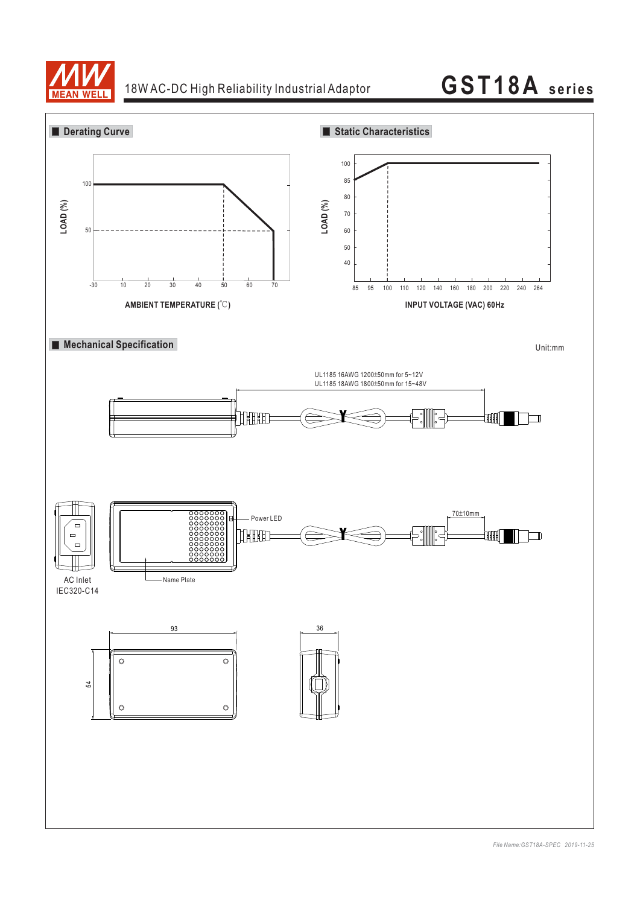

## 18W AC-DC High Reliability Industrial Adaptor **GST18A series**

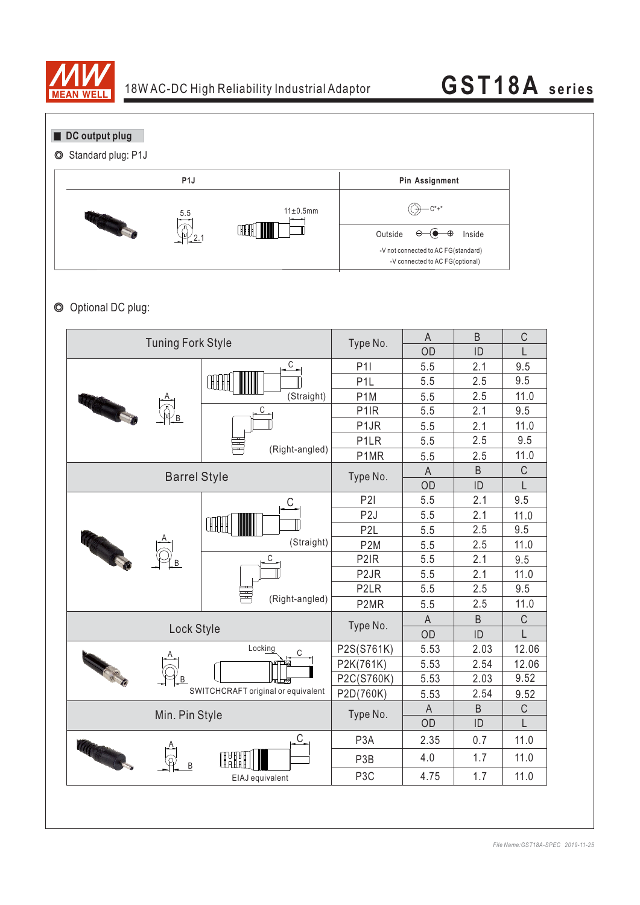

**DC** output plug

◎ Standard plug: P1J



### ◎ Optional DC plug:

| <b>Tuning Fork Style</b> |                                    | A                                                                                                                                                                                                                                                                                                                                                   | B    | C           |       |
|--------------------------|------------------------------------|-----------------------------------------------------------------------------------------------------------------------------------------------------------------------------------------------------------------------------------------------------------------------------------------------------------------------------------------------------|------|-------------|-------|
|                          |                                    | Type No.<br>OD<br>ID<br>$\mathsf C$<br>9.5<br>5.5<br>P11<br>2.1<br>9.5<br>P <sub>1</sub> L<br>5.5<br>2.5<br>11.0<br>P <sub>1</sub> M<br>2.5<br>(Straight)<br>5.5<br>C<br>P <sub>1</sub> R<br>5.5<br>9.5<br>2.1<br>P <sub>1</sub> JR<br>11.0<br>5.5<br>2.1<br>9.5<br>2.5<br>5.5<br>P <sub>1</sub> LR<br>(Right-angled)<br>11.0<br>P1MR<br>2.5<br>5.5 |      |             |       |
|                          |                                    |                                                                                                                                                                                                                                                                                                                                                     |      |             |       |
|                          | ŒH                                 |                                                                                                                                                                                                                                                                                                                                                     |      |             |       |
|                          |                                    |                                                                                                                                                                                                                                                                                                                                                     |      |             |       |
| <b>RESERVE</b>           |                                    |                                                                                                                                                                                                                                                                                                                                                     |      |             |       |
|                          |                                    |                                                                                                                                                                                                                                                                                                                                                     |      |             |       |
|                          |                                    |                                                                                                                                                                                                                                                                                                                                                     |      |             |       |
|                          |                                    |                                                                                                                                                                                                                                                                                                                                                     |      |             |       |
| <b>Barrel Style</b>      | Type No.                           | $\overline{A}$                                                                                                                                                                                                                                                                                                                                      | B    | $\mathsf C$ |       |
|                          |                                    | OD                                                                                                                                                                                                                                                                                                                                                  | ID   | L           |       |
|                          | C                                  | P2I                                                                                                                                                                                                                                                                                                                                                 | 5.5  | 2.1         | 9.5   |
|                          |                                    | P <sub>2</sub> J                                                                                                                                                                                                                                                                                                                                    | 5.5  | 2.1         | 11.0  |
|                          | $\mathbb{H}$                       | P <sub>2</sub> L                                                                                                                                                                                                                                                                                                                                    | 5.5  | 2.5         | 9.5   |
|                          | (Straight)                         | P <sub>2</sub> M                                                                                                                                                                                                                                                                                                                                    | 5.5  | 2.5         | 11.0  |
| Charles Contractor       |                                    | P <sub>2</sub> IR                                                                                                                                                                                                                                                                                                                                   | 5.5  | 2.1         | 9.5   |
|                          |                                    | P <sub>2</sub> JR                                                                                                                                                                                                                                                                                                                                   | 5.5  | 2.1         | 11.0  |
|                          |                                    | P <sub>2</sub> LR                                                                                                                                                                                                                                                                                                                                   | 5.5  | 2.5         | 9.5   |
|                          | (Right-angled)                     | P2MR                                                                                                                                                                                                                                                                                                                                                | 5.5  | 2.5         | 11.0  |
|                          | Type No.                           | $\mathsf{A}$                                                                                                                                                                                                                                                                                                                                        | B    | $\mathsf C$ |       |
| Lock Style               |                                    |                                                                                                                                                                                                                                                                                                                                                     | OD   | ID          | L     |
|                          | Locking<br>С                       | P2S(S761K)                                                                                                                                                                                                                                                                                                                                          | 5.53 | 2.03        | 12.06 |
|                          |                                    | P2K(761K)                                                                                                                                                                                                                                                                                                                                           | 5.53 | 2.54        | 12.06 |
| <b>CALLED</b><br>B       |                                    | P2C(S760K)                                                                                                                                                                                                                                                                                                                                          | 5.53 | 2.03        | 9.52  |
|                          | SWITCHCRAFT original or equivalent | P2D(760K)                                                                                                                                                                                                                                                                                                                                           | 5.53 | 2.54        | 9.52  |
| Min. Pin Style           | Type No.                           | A                                                                                                                                                                                                                                                                                                                                                   | B    | $\mathsf C$ |       |
|                          |                                    | OD                                                                                                                                                                                                                                                                                                                                                  | ID   | L           |       |
|                          | С                                  | P <sub>3</sub> A                                                                                                                                                                                                                                                                                                                                    | 2.35 | 0.7         | 11.0  |
| Ville Comments<br>B      | OHH                                | P3B                                                                                                                                                                                                                                                                                                                                                 | 4.0  | 1.7         | 11.0  |
|                          | EIAJ equivalent                    | P <sub>3</sub> C                                                                                                                                                                                                                                                                                                                                    | 4.75 | 1.7         | 11.0  |